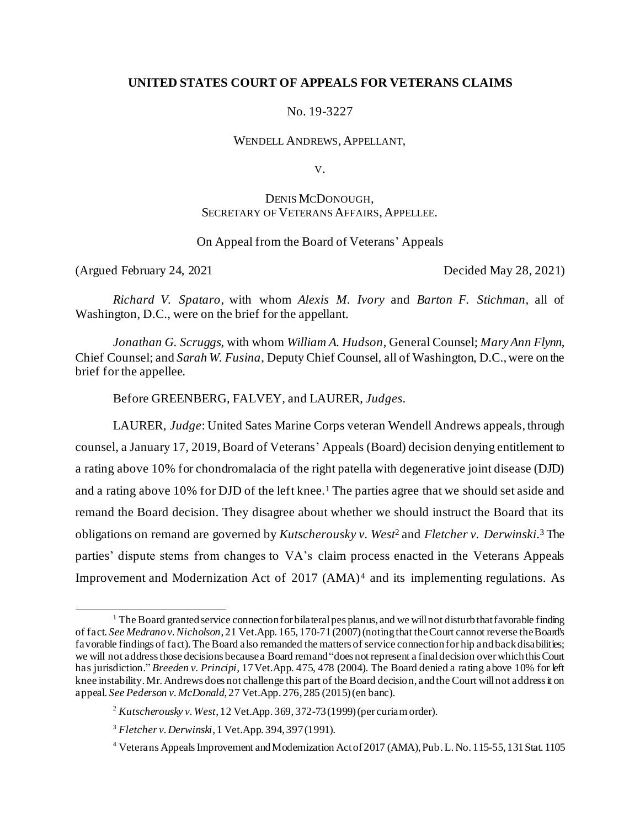## **UNITED STATES COURT OF APPEALS FOR VETERANS CLAIMS**

No. 19-3227

WENDELL ANDREWS, APPELLANT,

V.

# DENIS MCDONOUGH, SECRETARY OF VETERANS AFFAIRS, APPELLEE.

## On Appeal from the Board of Veterans' Appeals

(Argued February 24, 2021 Decided May 28, 2021)

*Richard V. Spataro*, with whom *Alexis M. Ivory* and *Barton F. Stichman*, all of Washington, D.C., were on the brief for the appellant.

*Jonathan G. Scruggs*, with whom *William A. Hudson*, General Counsel; *Mary Ann Flynn*, Chief Counsel; and *Sarah W. Fusina*, Deputy Chief Counsel, all of Washington, D.C., were on the brief for the appellee.

Before GREENBERG, FALVEY, and LAURER, *Judges*.

LAURER, *Judge*: United Sates Marine Corps veteran Wendell Andrews appeals, through counsel, a January 17, 2019, Board of Veterans' Appeals (Board) decision denying entitlement to a rating above 10% for chondromalacia of the right patella with degenerative joint disease (DJD) and a rating above 10% for DJD of the left knee.<sup>1</sup> The parties agree that we should set aside and remand the Board decision. They disagree about whether we should instruct the Board that its obligations on remand are governed by *Kutscherousky v. West*<sup>2</sup> and *Fletcher v. Derwinski*. <sup>3</sup> The parties' dispute stems from changes to VA's claim process enacted in the Veterans Appeals Improvement and Modernization Act of 2017 (AMA)<sup>4</sup> and its implementing regulations. As

<sup>&</sup>lt;sup>1</sup> The Board granted service connection for bilateral pes planus, and we will not disturb that favorable finding of fact. *See Medrano v. Nicholson*, 21 Vet.App. 165, 170-71 (2007) (noting that the Court cannot reverse the Board's favorable findings of fact). The Board also remanded the matters of service connection for hip and back disabilities; we will not address those decisions because a Board remand "does not represent a final decision over which this Court has jurisdiction." *Breeden v. Principi*, 17Vet.App. 475, 478 (2004). The Board denied a rating above 10% for left knee instability. Mr. Andrews does not challenge this part of the Board decision, and the Court will not address it on appeal. *See Pederson v. McDonald*, 27 Vet.App. 276, 285 (2015) (en banc).

<sup>2</sup> *Kutscherousky v. West*, 12 Vet.App. 369, 372-73 (1999) (per curiam order).

<sup>3</sup> *Fletcher v. Derwinski*, 1 Vet.App. 394, 397 (1991).

<sup>4</sup> Veterans Appeals Improvement and Modernization Act of 2017 (AMA), Pub. L. No. 115-55, 131 Stat. 1105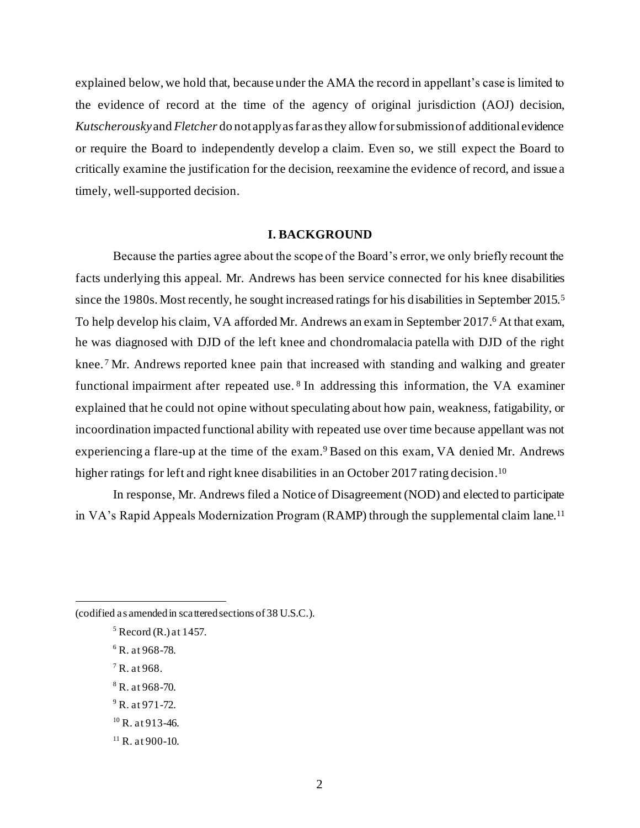explained below, we hold that, because under the AMA the record in appellant's case is limited to the evidence of record at the time of the agency of original jurisdiction (AOJ) decision, *Kutscherousky*and *Fletcher* do not apply as far as they allow for submission of additional evidence or require the Board to independently develop a claim. Even so, we still expect the Board to critically examine the justification for the decision, reexamine the evidence of record, and issue a timely, well-supported decision.

### **I. BACKGROUND**

Because the parties agree about the scope of the Board's error, we only briefly recount the facts underlying this appeal. Mr. Andrews has been service connected for his knee disabilities since the 1980s. Most recently, he sought increased ratings for his disabilities in September 2015.<sup>5</sup> To help develop his claim, VA afforded Mr. Andrews an exam in September 2017.<sup>6</sup> At that exam, he was diagnosed with DJD of the left knee and chondromalacia patella with DJD of the right knee.<sup>7</sup> Mr. Andrews reported knee pain that increased with standing and walking and greater functional impairment after repeated use.<sup>8</sup> In addressing this information, the VA examiner explained that he could not opine without speculating about how pain, weakness, fatigability, or incoordination impacted functional ability with repeated use over time because appellant was not experiencing a flare-up at the time of the exam.<sup>9</sup> Based on this exam, VA denied Mr. Andrews higher ratings for left and right knee disabilities in an October 2017 rating decision.<sup>10</sup>

In response, Mr. Andrews filed a Notice of Disagreement (NOD) and elected to participate in VA's Rapid Appeals Modernization Program (RAMP) through the supplemental claim lane. 11

(codified as amended in scattered sections of 38 U.S.C.).

- $6$  R. at 968-78.
- $7 R. at 968.$
- $8$  R. at 968-70.
- $9$  R. at 971-72.
- $10$  R. at 913-46.
- $11$  R. at 900-10.

 $<sup>5</sup>$  Record (R.) at 1457.</sup>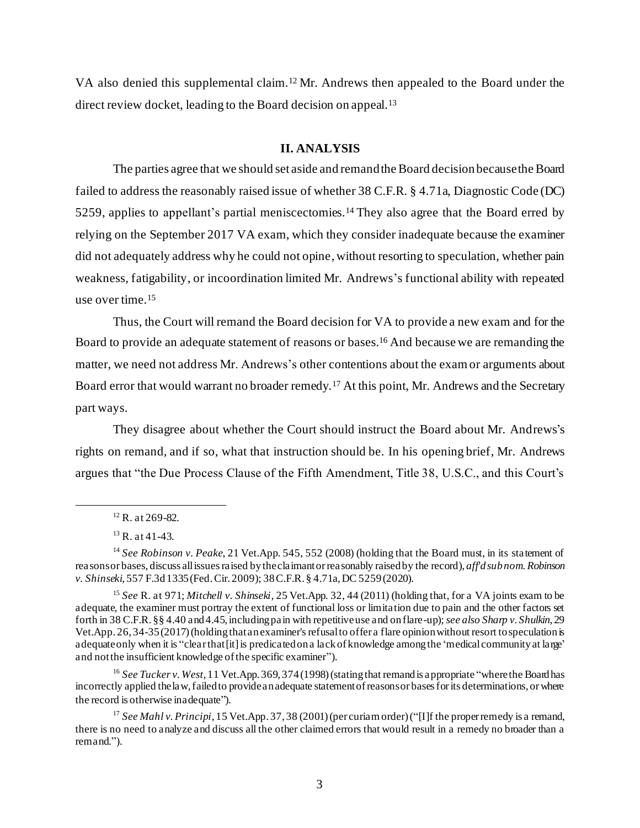VA also denied this supplemental claim.<sup>12</sup> Mr. Andrews then appealed to the Board under the direct review docket, leading to the Board decision on appeal.<sup>13</sup>

#### **II. ANALYSIS**

The parties agree that we should set aside and remandthe Board decision because the Board failed to address the reasonably raised issue of whether 38 C.F.R. § 4.71a, Diagnostic Code (DC) 5259, applies to appellant's partial meniscectomies.<sup>14</sup> They also agree that the Board erred by relying on the September 2017 VA exam, which they consider inadequate because the examiner did not adequately address why he could not opine, without resorting to speculation, whether pain weakness, fatigability, or incoordination limited Mr. Andrews's functional ability with repeated use over time.<sup>15</sup>

Thus, the Court will remand the Board decision for VA to provide a new exam and for the Board to provide an adequate statement of reasons or bases.<sup>16</sup> And because we are remanding the matter, we need not address Mr. Andrews's other contentions about the exam or arguments about Board error that would warrant no broader remedy.<sup>17</sup> At this point, Mr. Andrews and the Secretary part ways.

They disagree about whether the Court should instruct the Board about Mr. Andrews's rights on remand, and if so, what that instruction should be. In his opening brief, Mr. Andrews argues that "the Due Process Clause of the Fifth Amendment, Title 38, U.S.C., and this Court's

<sup>16</sup> See Tucker v. West, 11 Vet.App. 369, 374 (1998) (stating that remand is appropriate "where the Board has incorrectly applied the law, failed to provide an adequate statement of reasons or bases for its determinations, or where the record is otherwise inadequate").

 $12$  R. at 269-82.

 $13$  R. at 41-43.

<sup>14</sup> *See Robinson v. Peake*, 21 Vet.App. 545, 552 (2008) (holding that the Board must, in its statement of reasons or bases, discuss all issues raised by the claimant or reasonably raised by the record), *aff'd sub nom. Robinson v. Shinseki*, 557 F.3d 1335 (Fed. Cir. 2009); 38 C.F.R. § 4.71a, DC 5259 (2020).

<sup>15</sup> *See* R. at 971; *Mitchell v. Shinseki*, 25 Vet.App. 32, 44 (2011) (holding that, for a VA joints exam to be adequate, the examiner must portray the extent of functional loss or limitation due to pain and the other factors set forth in 38 C.F.R. §§ 4.40 and 4.45, including pain with repetitive use and on flare-up); *see also Sharp v. Shulkin*, 29 Vet.App.  $26, 34-35$  (2017) (holding that an examiner's refusal to offer a flare opinion without resort to speculation is adequate only when it is "clear that [it] is predicated on a lack of knowledge among the 'medical community at large' and not the insufficient knowledge of the specific examiner").

<sup>&</sup>lt;sup>17</sup> *See Mahl v. Principi*, 15 Vet.App. 37, 38 (2001) (per curiam order) ("[I]f the proper remedy is a remand, there is no need to analyze and discuss all the other claimed errors that would result in a remedy no broader than a remand.").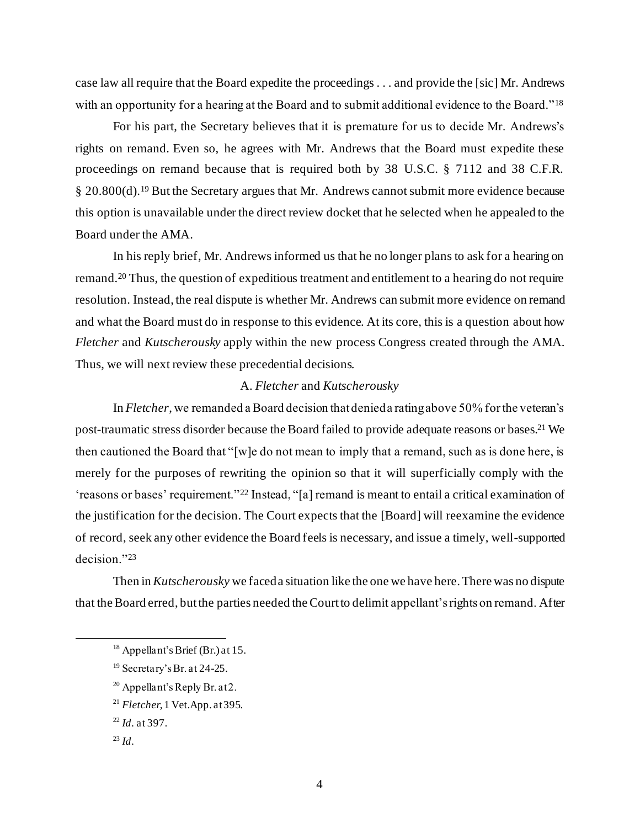case law all require that the Board expedite the proceedings . . . and provide the [sic] Mr. Andrews with an opportunity for a hearing at the Board and to submit additional evidence to the Board."<sup>18</sup>

For his part, the Secretary believes that it is premature for us to decide Mr. Andrews's rights on remand. Even so, he agrees with Mr. Andrews that the Board must expedite these proceedings on remand because that is required both by 38 U.S.C. § 7112 and 38 C.F.R. § 20.800(d).<sup>19</sup> But the Secretary argues that Mr. Andrews cannot submit more evidence because this option is unavailable under the direct review docket that he selected when he appealed to the Board under the AMA.

In his reply brief, Mr. Andrews informed us that he no longer plans to ask for a hearing on remand.<sup>20</sup> Thus, the question of expeditious treatment and entitlement to a hearing do not require resolution. Instead, the real dispute is whether Mr. Andrews can submit more evidence on remand and what the Board must do in response to this evidence. At its core, this is a question about how *Fletcher* and *Kutscherousky* apply within the new process Congress created through the AMA. Thus, we will next review these precedential decisions.

## A. *Fletcher* and *Kutscherousky*

In *Fletcher*, we remanded a Board decision that denied a rating above 50% for the veteran's post-traumatic stress disorder because the Board failed to provide adequate reasons or bases. <sup>21</sup> We then cautioned the Board that "[w]e do not mean to imply that a remand, such as is done here, is merely for the purposes of rewriting the opinion so that it will superficially comply with the 'reasons or bases' requirement."<sup>22</sup> Instead, "[a] remand is meant to entail a critical examination of the justification for the decision. The Court expects that the [Board] will reexamine the evidence of record, seek any other evidence the Board feels is necessary, and issue a timely, well-supported decision."<sup>23</sup>

Then in *Kutscherousky* we faced a situation like the one we have here. There was no dispute that the Board erred, but the parties needed the Court to delimit appellant's rights on remand. After

 $20$  Appellant's Reply Br. at 2.

 $18$  Appellant's Brief (Br.) at 15.

<sup>19</sup> Secretary's Br. at 24-25.

<sup>21</sup> *Fletcher*, 1 Vet.App. at395.

<sup>22</sup> *Id*. at 397.

 $^{23}$  *Id.*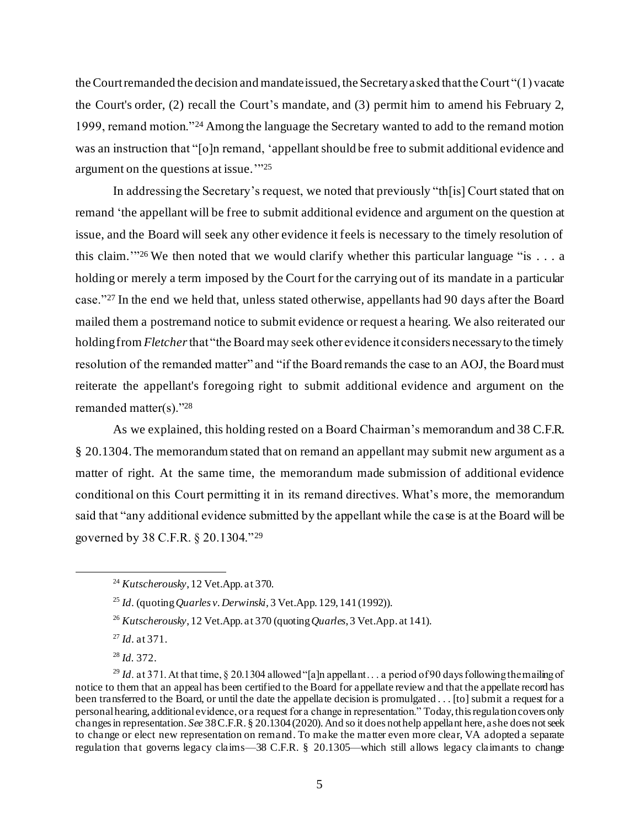the Court remanded the decision and mandate issued, the Secretary asked that the Court "(1) vacate the Court's order, (2) recall the Court's mandate, and (3) permit him to amend his February 2, 1999, remand motion."<sup>24</sup> Among the language the Secretary wanted to add to the remand motion was an instruction that "[o]n remand, 'appellant should be free to submit additional evidence and argument on the questions at issue.'" 25

In addressing the Secretary's request, we noted that previously "th[is] Court stated that on remand 'the appellant will be free to submit additional evidence and argument on the question at issue, and the Board will seek any other evidence it feels is necessary to the timely resolution of this claim.'" <sup>26</sup> We then noted that we would clarify whether this particular language "is . . . a holding or merely a term imposed by the Court for the carrying out of its mandate in a particular case."<sup>27</sup> In the end we held that, unless stated otherwise, appellants had 90 days after the Board mailed them a postremand notice to submit evidence or request a hearing. We also reiterated our holding from *Fletcher*that "the Board may seek other evidence it considers necessary to the timely resolution of the remanded matter" and "if the Board remands the case to an AOJ, the Board must reiterate the appellant's foregoing right to submit additional evidence and argument on the remanded matter(s)."<sup>28</sup>

As we explained, this holding rested on a Board Chairman's memorandum and 38 C.F.R. § 20.1304. The memorandum stated that on remand an appellant may submit new argument as a matter of right. At the same time, the memorandum made submission of additional evidence conditional on this Court permitting it in its remand directives. What's more, the memorandum said that "any additional evidence submitted by the appellant while the case is at the Board will be governed by 38 C.F.R. § 20.1304."<sup>29</sup>

<sup>27</sup> *Id*. at 371.

<sup>28</sup> *Id.* 372.

<sup>24</sup> *Kutscherousky*, 12 Vet.App. at 370.

<sup>25</sup> *Id*. (quoting*Quarles v. Derwinski,* 3 Vet.App. 129, 141 (1992)).

<sup>26</sup> *Kutscherousky*, 12 Vet.App. at 370 (quoting *Quarles*, 3 Vet.App. at 141).

<sup>&</sup>lt;sup>29</sup> *Id.* at 371. At that time, § 20.1304 allowed "[a]n appellant . . . a period of 90 days following the mailing of notice to them that an appeal has been certified to the Board for appellate review and that the appellate record has been transferred to the Board, or until the date the appellate decision is promulgated . . . [to] submit a request for a personal hearing, additional evidence, or a request for a change in representation." Today, this regulation covers only changes in representation. *See* 38 C.F.R. § 20.1304 (2020). And so it does not help appellant here, as he does not seek to change or elect new representation on remand. To make the matter even more clear, VA adopted a separate regulation that governs legacy claims—38 C.F.R. § 20.1305—which still allows legacy claimants to change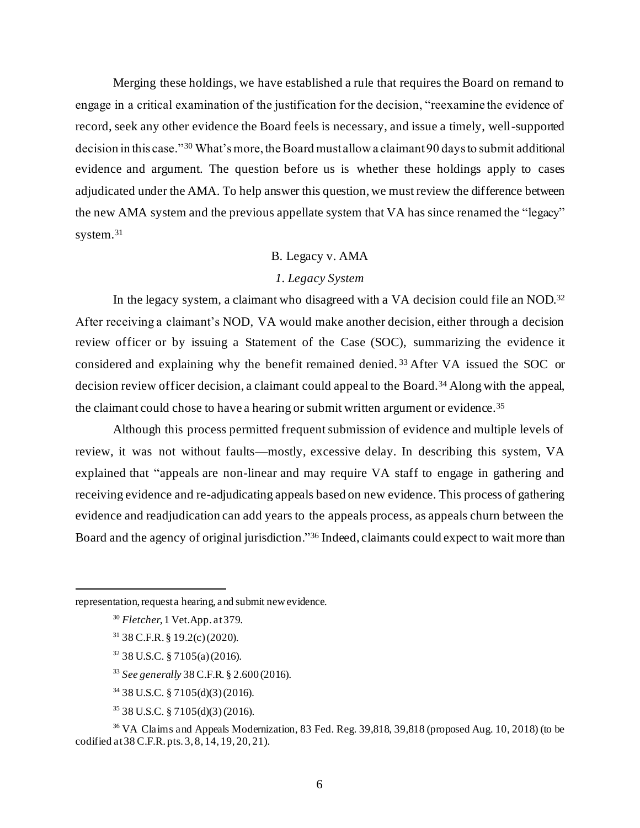Merging these holdings, we have established a rule that requires the Board on remand to engage in a critical examination of the justification for the decision, "reexamine the evidence of record, seek any other evidence the Board feels is necessary, and issue a timely, well-supported decision in this case."<sup>30</sup> What's more, the Board must allow a claimant 90 days to submit additional evidence and argument. The question before us is whether these holdings apply to cases adjudicated under the AMA. To help answer this question, we must review the difference between the new AMA system and the previous appellate system that VA has since renamed the "legacy" system.<sup>31</sup>

# B. Legacy v. AMA

# *1. Legacy System*

In the legacy system, a claimant who disagreed with a VA decision could file an NOD.<sup>32</sup> After receiving a claimant's NOD, VA would make another decision, either through a decision review officer or by issuing a Statement of the Case (SOC), summarizing the evidence it considered and explaining why the benefit remained denied. <sup>33</sup> After VA issued the SOC or decision review officer decision, a claimant could appeal to the Board.<sup>34</sup> Along with the appeal, the claimant could chose to have a hearing or submit written argument or evidence.<sup>35</sup>

Although this process permitted frequent submission of evidence and multiple levels of review, it was not without faults—mostly, excessive delay. In describing this system, VA explained that "appeals are non-linear and may require VA staff to engage in gathering and receiving evidence and re-adjudicating appeals based on new evidence. This process of gathering evidence and readjudication can add years to the appeals process, as appeals churn between the Board and the agency of original jurisdiction."<sup>36</sup> Indeed, claimants could expect to wait more than

<sup>33</sup> *See generally* 38 C.F.R. § 2.600 (2016).

- <sup>34</sup> 38 U.S.C. § 7105(d)(3) (2016).
- <sup>35</sup> 38 U.S.C. § 7105(d)(3)(2016).

representation, request a hearing, and submit new evidence.

<sup>30</sup> *Fletcher*, 1 Vet.App. at 379.

 $31$  38 C.F.R. § 19.2(c) (2020).

<sup>32</sup> 38 U.S.C. § 7105(a) (2016).

<sup>36</sup> VA Claims and Appeals Modernization, 83 Fed. Reg. 39,818, 39,818 (proposed Aug. 10, 2018) (to be codified at 38 C.F.R. pts. 3, 8, 14, 19, 20, 21).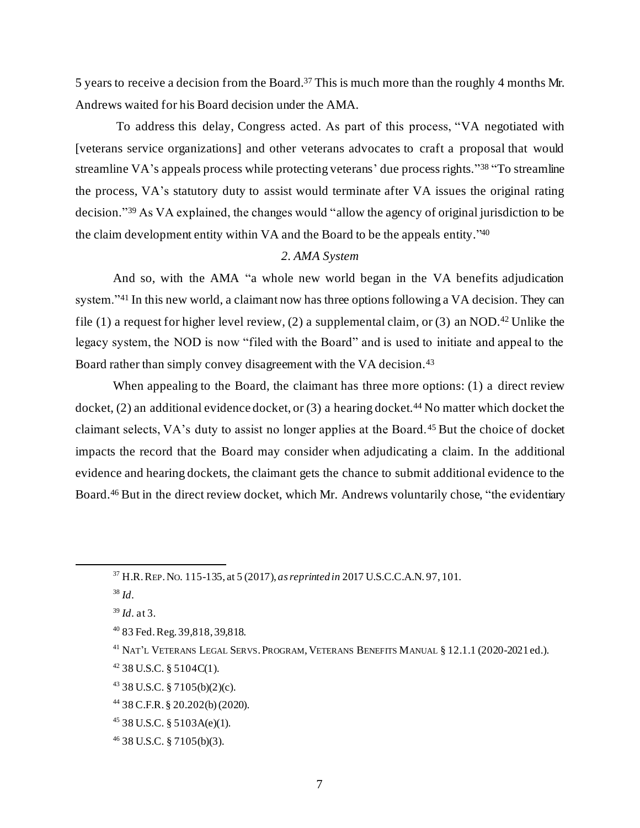5 years to receive a decision from the Board.<sup>37</sup> This is much more than the roughly 4 months Mr. Andrews waited for his Board decision under the AMA.

To address this delay, Congress acted. As part of this process, "VA negotiated with [veterans service organizations] and other veterans advocates to craft a proposal that would streamline VA's appeals process while protecting veterans' due process rights."<sup>38</sup> "To streamline the process, VA's statutory duty to assist would terminate after VA issues the original rating decision." <sup>39</sup> As VA explained, the changes would "allow the agency of original jurisdiction to be the claim development entity within VA and the Board to be the appeals entity." 40

## *2. AMA System*

And so, with the AMA "a whole new world began in the VA benefits adjudication system."<sup>41</sup> In this new world, a claimant now has three options following a VA decision. They can file (1) a request for higher level review, (2) a supplemental claim, or (3) an NOD.<sup>42</sup> Unlike the legacy system, the NOD is now "filed with the Board" and is used to initiate and appeal to the Board rather than simply convey disagreement with the VA decision.<sup>43</sup>

When appealing to the Board, the claimant has three more options: (1) a direct review docket,  $(2)$  an additional evidence docket, or  $(3)$  a hearing docket.<sup>44</sup> No matter which docket the claimant selects, VA's duty to assist no longer applies at the Board. <sup>45</sup> But the choice of docket impacts the record that the Board may consider when adjudicating a claim. In the additional evidence and hearing dockets, the claimant gets the chance to submit additional evidence to the Board.<sup>46</sup> But in the direct review docket, which Mr. Andrews voluntarily chose, "the evidentiary

<sup>37</sup> H.R. REP.NO. 115-135, at 5 (2017), *as reprinted in* 2017 U.S.C.C.A.N. 97, 101.

<sup>38</sup> *Id*.

<sup>39</sup> *Id*. at 3.

<sup>40</sup> 83 Fed. Reg. 39,818, 39,818.

<sup>&</sup>lt;sup>41</sup> NAT'L VETERANS LEGAL SERVS. PROGRAM, VETERANS BENEFITS MANUAL § 12.1.1 (2020-2021 ed.).

 $42$  38 U.S.C. § 5104C(1).

<sup>43</sup> 38 U.S.C. § 7105(b)(2)(c).

<sup>44</sup> 38 C.F.R. § 20.202(b)(2020).

 $45$  38 U.S.C. § 5103A(e)(1).

<sup>46</sup> 38 U.S.C. § 7105(b)(3).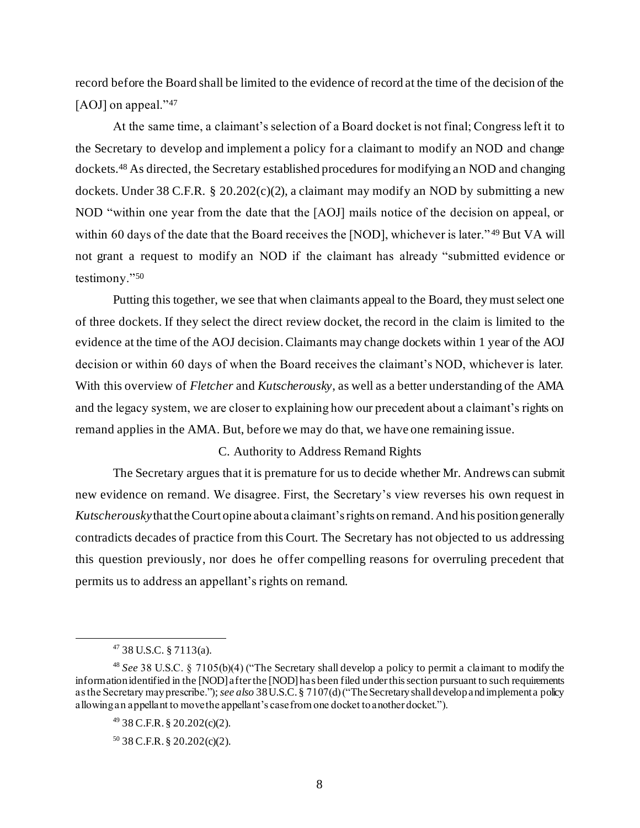record before the Board shall be limited to the evidence of record at the time of the decision of the [AOJ] on appeal."<sup>47</sup>

At the same time, a claimant's selection of a Board docket is not final; Congress left it to the Secretary to develop and implement a policy for a claimant to modify an NOD and change dockets.<sup>48</sup> As directed, the Secretary established procedures for modifying an NOD and changing dockets. Under 38 C.F.R. § 20.202(c)(2), a claimant may modify an NOD by submitting a new NOD "within one year from the date that the [AOJ] mails notice of the decision on appeal, or within 60 days of the date that the Board receives the [NOD], whichever is later."<sup>49</sup> But VA will not grant a request to modify an NOD if the claimant has already "submitted evidence or testimony."<sup>50</sup>

Putting this together, we see that when claimants appeal to the Board, they must select one of three dockets. If they select the direct review docket, the record in the claim is limited to the evidence at the time of the AOJ decision. Claimants may change dockets within 1 year of the AOJ decision or within 60 days of when the Board receives the claimant's NOD, whichever is later. With this overview of *Fletcher* and *Kutscherousky*, as well as a better understanding of the AMA and the legacy system, we are closer to explaining how our precedent about a claimant's rights on remand applies in the AMA. But, before we may do that, we have one remaining issue.

## C. Authority to Address Remand Rights

The Secretary argues that it is premature for us to decide whether Mr. Andrews can submit new evidence on remand. We disagree. First, the Secretary's view reverses his own request in *Kutscherousky*that the Court opine about a claimant's rights on remand. And his position generally contradicts decades of practice from this Court. The Secretary has not objected to us addressing this question previously, nor does he offer compelling reasons for overruling precedent that permits us to address an appellant's rights on remand.

 $47$  38 U.S.C. § 7113(a).

<sup>48</sup> *See* 38 U.S.C. § 7105(b)(4) ("The Secretary shall develop a policy to permit a claimant to modify the information identified in the [NOD] after the [NOD] has been filed under this section pursuant to such requirements as the Secretary may prescribe.");*see also* 38 U.S.C. § 7107(d) ("The Secretary shall develop and implement a policy allowing an appellant to move the appellant's case from one docket to another docket.").

<sup>49</sup> 38 C.F.R. § 20.202(c)(2).

 $50$  38 C.F.R. § 20.202(c)(2).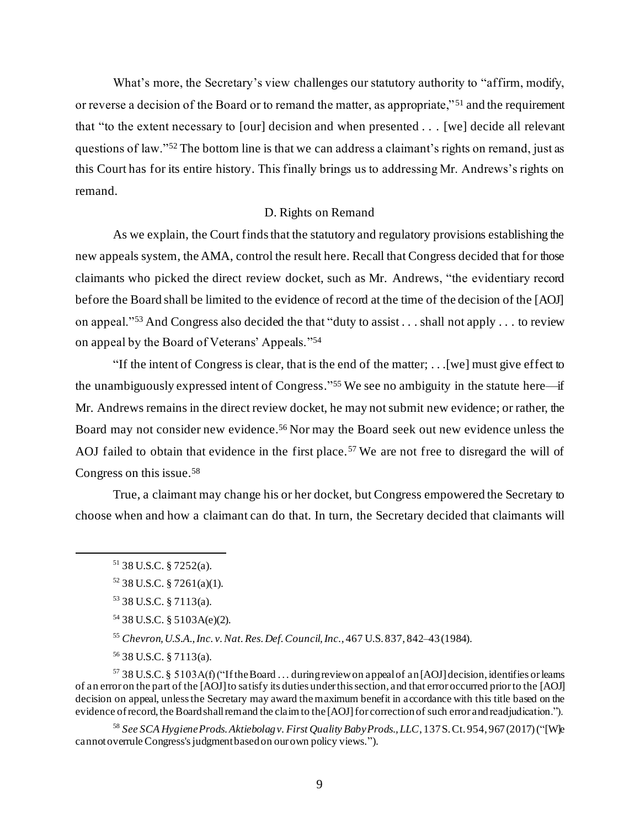What's more, the Secretary's view challenges our statutory authority to "affirm, modify, or reverse a decision of the Board or to remand the matter, as appropriate," <sup>51</sup> and the requirement that "to the extent necessary to [our] decision and when presented . . . [we] decide all relevant questions of law."<sup>52</sup> The bottom line is that we can address a claimant's rights on remand, just as this Court has for its entire history. This finally brings us to addressing Mr. Andrews's rights on remand.

## D. Rights on Remand

As we explain, the Court finds that the statutory and regulatory provisions establishing the new appeals system, the AMA, control the result here. Recall that Congress decided that for those claimants who picked the direct review docket, such as Mr. Andrews, "the evidentiary record before the Board shall be limited to the evidence of record at the time of the decision of the [AOJ] on appeal."<sup>53</sup> And Congress also decided the that "duty to assist . . . shall not apply . . . to review on appeal by the Board of Veterans' Appeals." 54

"If the intent of Congress is clear, that is the end of the matter; . . .[we] must give effect to the unambiguously expressed intent of Congress." <sup>55</sup> We see no ambiguity in the statute here—if Mr. Andrews remains in the direct review docket, he may not submit new evidence; or rather, the Board may not consider new evidence. <sup>56</sup> Nor may the Board seek out new evidence unless the AOJ failed to obtain that evidence in the first place.<sup>57</sup> We are not free to disregard the will of Congress on this issue.<sup>58</sup>

True, a claimant may change his or her docket, but Congress empowered the Secretary to choose when and how a claimant can do that. In turn, the Secretary decided that claimants will

<sup>55</sup> *Chevron, U.S.A., Inc. v. Nat. Res. Def. Council, Inc.*, 467 U.S. 837, 842–43 (1984).

<sup>56</sup> 38 U.S.C. § 7113(a).

 $57$  38 U.S.C. § 5103A(f) ("If the Board ... during review on appeal of an [AOJ] decision, identifies or leams of an error on the part of the [AOJ]to satisfy its duties under this section, and that error occurred prior to the [AOJ] decision on appeal, unless the Secretary may award themaximum benefit in accordance with this title based on the evidence of record, the Board shall remand the claim to the [AOJ] for correction of such error and readjudication.").

<sup>58</sup> *See SCA Hygiene Prods. Aktiebolag v. First Quality Baby Prods., LLC*, 137 S. Ct. 954, 967 (2017) ("[W]e cannot overrule Congress's judgment based on our own policy views.").

 $51$  38 U.S.C. § 7252(a).

 $52$  38 U.S.C. § 7261(a)(1).

<sup>53</sup> 38 U.S.C. § 7113(a).

<sup>54</sup> 38 U.S.C. § 5103A(e)(2).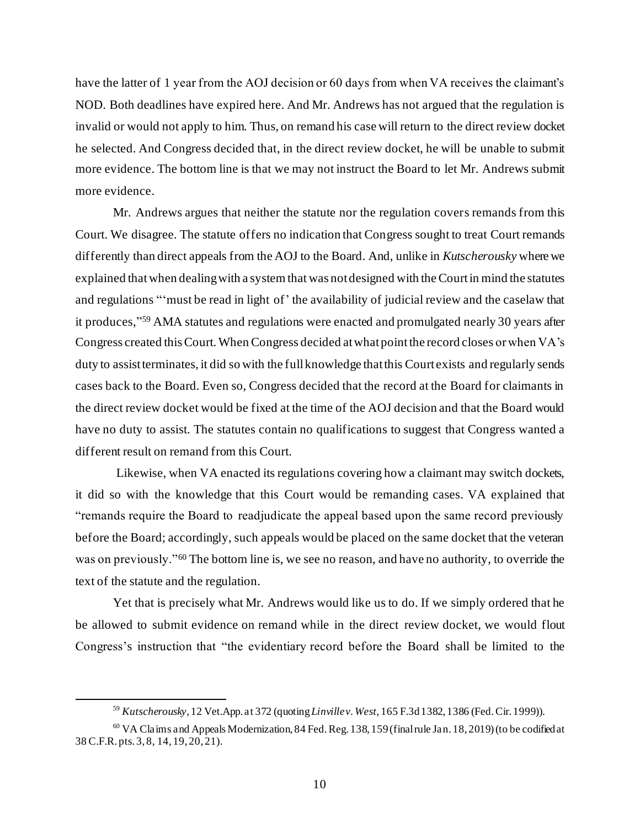have the latter of 1 year from the AOJ decision or 60 days from when VA receives the claimant's NOD. Both deadlines have expired here. And Mr. Andrews has not argued that the regulation is invalid or would not apply to him. Thus, on remand his case will return to the direct review docket he selected. And Congress decided that, in the direct review docket, he will be unable to submit more evidence. The bottom line is that we may not instruct the Board to let Mr. Andrews submit more evidence.

Mr. Andrews argues that neither the statute nor the regulation covers remands from this Court. We disagree. The statute offers no indication that Congress sought to treat Court remands differently than direct appeals from the AOJ to the Board. And, unlike in *Kutscherousky* where we explained that when dealing with a system that was not designed with the Court in mind the statutes and regulations "'must be read in light of' the availability of judicial review and the caselaw that it produces," <sup>59</sup> AMA statutes and regulations were enacted and promulgated nearly 30 years after Congress created this Court. When Congress decided at what point the record closes or when VA's duty to assist terminates, it did so with the full knowledge that this Court exists and regularly sends cases back to the Board. Even so, Congress decided that the record at the Board for claimants in the direct review docket would be fixed at the time of the AOJ decision and that the Board would have no duty to assist. The statutes contain no qualifications to suggest that Congress wanted a different result on remand from this Court.

Likewise, when VA enacted its regulations covering how a claimant may switch dockets, it did so with the knowledge that this Court would be remanding cases. VA explained that "remands require the Board to readjudicate the appeal based upon the same record previously before the Board; accordingly, such appeals would be placed on the same docket that the veteran was on previously."<sup>60</sup> The bottom line is, we see no reason, and have no authority, to override the text of the statute and the regulation.

Yet that is precisely what Mr. Andrews would like us to do. If we simply ordered that he be allowed to submit evidence on remand while in the direct review docket, we would flout Congress's instruction that "the evidentiary record before the Board shall be limited to the

<sup>59</sup> *Kutscherousky*, 12 Vet.App. at 372 (quoting *Linville v. West,* 165 F.3d 1382, 1386 (Fed.Cir. 1999)).

<sup>&</sup>lt;sup>60</sup> VA Claims and Appeals Modernization, 84 Fed. Reg. 138, 159 (final rule Jan. 18, 2019) (to be codified at 38 C.F.R. pts. 3, 8, 14, 19, 20, 21).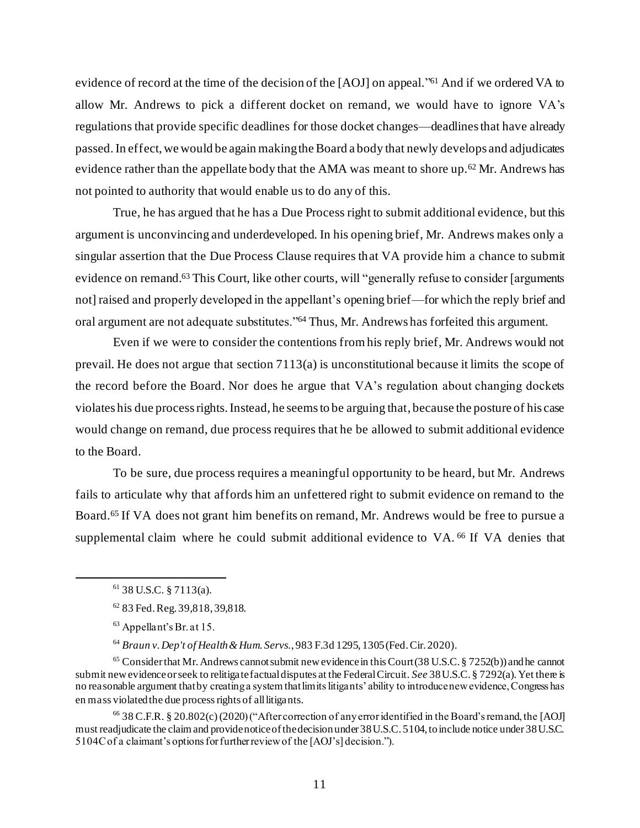evidence of record at the time of the decision of the [AOJ] on appeal.<sup>761</sup> And if we ordered VA to allow Mr. Andrews to pick a different docket on remand, we would have to ignore VA's regulations that provide specific deadlines for those docket changes—deadlines that have already passed.In effect, we would be again making the Board a body that newly develops and adjudicates evidence rather than the appellate body that the AMA was meant to shore up.<sup>62</sup> Mr. Andrews has not pointed to authority that would enable us to do any of this.

True, he has argued that he has a Due Process right to submit additional evidence, but this argument is unconvincing and underdeveloped. In his opening brief, Mr. Andrews makes only a singular assertion that the Due Process Clause requires that VA provide him a chance to submit evidence on remand.<sup>63</sup> This Court, like other courts, will "generally refuse to consider [arguments] not] raised and properly developed in the appellant's opening brief—for which the reply brief and oral argument are not adequate substitutes."<sup>64</sup> Thus, Mr. Andrews has forfeited this argument.

Even if we were to consider the contentions from his reply brief, Mr. Andrews would not prevail. He does not argue that section 7113(a) is unconstitutional because it limits the scope of the record before the Board. Nor does he argue that VA's regulation about changing dockets violates his due process rights. Instead, he seems to be arguing that, because the posture of his case would change on remand, due process requires that he be allowed to submit additional evidence to the Board.

To be sure, due process requires a meaningful opportunity to be heard, but Mr. Andrews fails to articulate why that affords him an unfettered right to submit evidence on remand to the Board.<sup>65</sup> If VA does not grant him benefits on remand, Mr. Andrews would be free to pursue a supplemental claim where he could submit additional evidence to VA.<sup>66</sup> If VA denies that

<sup>64</sup> *Braun v. Dep't of Health & Hum. Servs.*, 983 F.3d 1295, 1305 (Fed. Cir. 2020).

 $65$  Consider that Mr. Andrews cannot submit new evidence in this Court (38 U.S.C. § 7252(b)) and he cannot submit new evidence or seek to relitigate factual disputes at the Federal Circuit. *See* 38 U.S.C. § 7292(a). Yet there is no reasonable argument that by creating a system that limits litigants' ability to introduce new evidence, Congress has en mass violated the due process rights of all litigants.

<sup>66</sup> 38 C.F.R. § 20.802(c) (2020) ("After correction of any error identified in the Board's remand, the [AOJ] must readjudicate the claim and provide notice of the decision under 38 U.S.C. 5104, to include notice under 38 U.S.C. 5104C of a claimant's options for further review of the [AOJ's] decision.").

 $61$  38 U.S.C. § 7113(a).

<sup>62</sup> 83 Fed. Reg. 39,818, 39,818.

<sup>63</sup> Appellant's Br. at 15.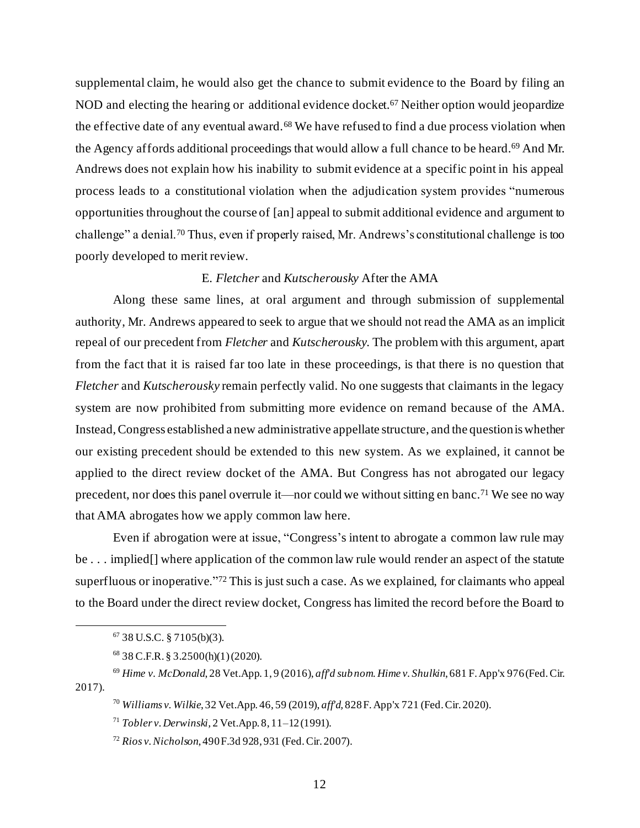supplemental claim, he would also get the chance to submit evidence to the Board by filing an NOD and electing the hearing or additional evidence docket. <sup>67</sup> Neither option would jeopardize the effective date of any eventual award.<sup>68</sup> We have refused to find a due process violation when the Agency affords additional proceedings that would allow a full chance to be heard. <sup>69</sup> And Mr. Andrews does not explain how his inability to submit evidence at a specific point in his appeal process leads to a constitutional violation when the adjudication system provides "numerous opportunities throughout the course of [an] appeal to submit additional evidence and argument to challenge" a denial.<sup>70</sup> Thus, even if properly raised, Mr. Andrews's constitutional challenge is too poorly developed to merit review.

## E. *Fletcher* and *Kutscherousky* After the AMA

Along these same lines, at oral argument and through submission of supplemental authority, Mr. Andrews appeared to seek to argue that we should not read the AMA as an implicit repeal of our precedent from *Fletcher* and *Kutscherousky*. The problem with this argument, apart from the fact that it is raised far too late in these proceedings, is that there is no question that *Fletcher* and *Kutscherousky* remain perfectly valid. No one suggests that claimants in the legacy system are now prohibited from submitting more evidence on remand because of the AMA. Instead, Congress established a new administrative appellate structure, and the question is whether our existing precedent should be extended to this new system. As we explained, it cannot be applied to the direct review docket of the AMA. But Congress has not abrogated our legacy precedent, nor does this panel overrule it—nor could we without sitting en banc.<sup>71</sup> We see no way that AMA abrogates how we apply common law here.

Even if abrogation were at issue, "Congress's intent to abrogate a common law rule may be . . . implied [] where application of the common law rule would render an aspect of the statute superfluous or inoperative."<sup>72</sup> This is just such a case. As we explained, for claimants who appeal to the Board under the direct review docket, Congress has limited the record before the Board to

 $67$  38 U.S.C. § 7105(b)(3).

<sup>68</sup> 38 C.F.R. § 3.2500(h)(1) (2020).

<sup>69</sup> *Hime v. McDonald*, 28 Vet.App. 1, 9 (2016), *aff'd sub nom. Hime v. Shulkin*, 681 F. App'x 976 (Fed. Cir. 2017).

<sup>70</sup> *Williams v. Wilkie*, 32 Vet.App. 46, 59 (2019), *aff'd,* 828 F. App'x 721 (Fed. Cir. 2020).

<sup>71</sup> *Tobler v. Derwinski,* 2 Vet.App. 8, 11–12 (1991).

<sup>72</sup> *Rios v. Nicholson*, 490 F.3d 928, 931 (Fed. Cir. 2007).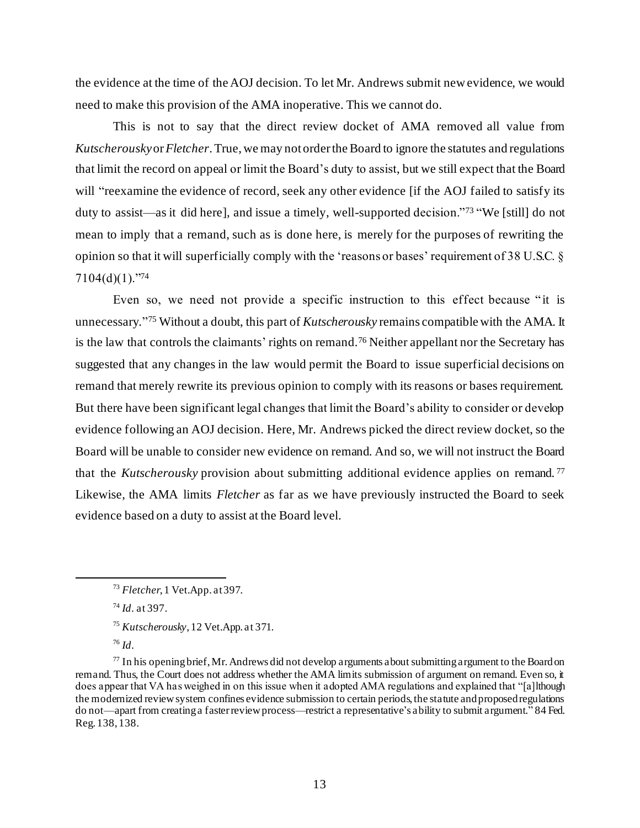the evidence at the time of the AOJ decision. To let Mr. Andrews submit new evidence, we would need to make this provision of the AMA inoperative. This we cannot do.

This is not to say that the direct review docket of AMA removed all value from *Kutscherousky*or *Fletcher*. True, we may not order the Board to ignore the statutes and regulations that limit the record on appeal or limit the Board's duty to assist, but we still expect that the Board will "reexamine the evidence of record, seek any other evidence [if the AOJ failed to satisfy its duty to assist—as it did here], and issue a timely, well-supported decision."<sup>73</sup> "We [still] do not mean to imply that a remand, such as is done here, is merely for the purposes of rewriting the opinion so that it will superficially comply with the 'reasons or bases' requirement of 38 U.S.C. § 7104(d)(1)."<sup>74</sup>

Even so, we need not provide a specific instruction to this effect because "it is unnecessary." <sup>75</sup> Without a doubt, this part of *Kutscherousky* remains compatible with the AMA. It is the law that controls the claimants' rights on remand.<sup>76</sup> Neither appellant nor the Secretary has suggested that any changes in the law would permit the Board to issue superficial decisions on remand that merely rewrite its previous opinion to comply with its reasons or bases requirement. But there have been significant legal changes that limit the Board's ability to consider or develop evidence following an AOJ decision. Here, Mr. Andrews picked the direct review docket, so the Board will be unable to consider new evidence on remand. And so, we will not instruct the Board that the *Kutscherousky* provision about submitting additional evidence applies on remand. <sup>77</sup> Likewise, the AMA limits *Fletcher* as far as we have previously instructed the Board to seek evidence based on a duty to assist at the Board level.

<sup>74</sup> *Id*. at 397.

<sup>73</sup> *Fletcher*, 1 Vet.App. at397.

<sup>75</sup> *Kutscherousky*, 12 Vet.App. at 371.

<sup>76</sup> *Id*.

 $77$  In his opening brief, Mr. Andrews did not develop arguments about submitting argument to the Board on remand. Thus, the Court does not address whether the AMA limits submission of argument on remand. Even so, it does appear that VA has weighed in on this issue when it adopted AMA regulations and explained that "[a]lthough the modernized review system confines evidence submission to certain periods, the statute and proposed regulations do not—apart from creating a faster review process—restrict a representative's ability to submit argument." 84 Fed. Reg. 138, 138.